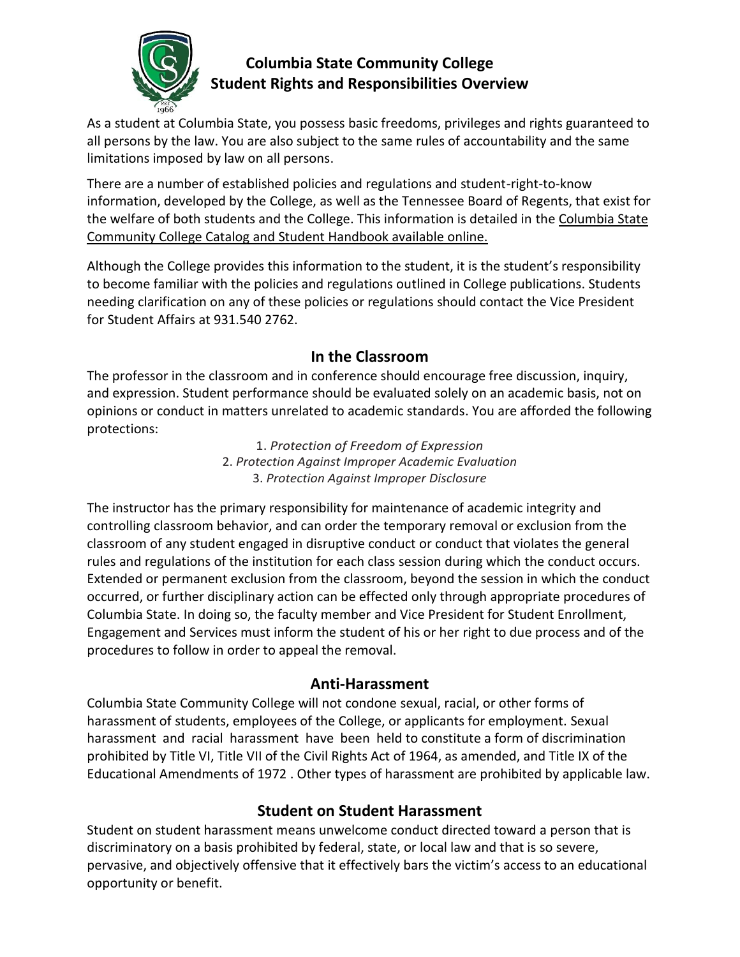

# **Columbia State Community College Student Rights and Responsibilities Overview**

As a student at Columbia State, you possess basic freedoms, privileges and rights guaranteed to all persons by the law. You are also subject to the same rules of accountability and the same limitations imposed by law on all persons.

There are a number of established policies and regulations and student-right-to-know information, developed by the College, as well as the Tennessee Board of Regents, that exist for the welfare of both students and the College. This information is detailed in the Columbia State Community College Catalog and Student Handbook available online.

Although the College provides this information to the student, it is the student's responsibility to become familiar with the policies and regulations outlined in College publications. Students needing clarification on any of these policies or regulations should contact the Vice President for Student Affairs at 931.540 2762.

### **In the Classroom**

The professor in the classroom and in conference should encourage free discussion, inquiry, and expression. Student performance should be evaluated solely on an academic basis, not on opinions or conduct in matters unrelated to academic standards. You are afforded the following protections:

> 1. *Protection of Freedom of Expression* 2. *Protection Against Improper Academic Evaluation* 3. *Protection Against Improper Disclosure*

The instructor has the primary responsibility for maintenance of academic integrity and controlling classroom behavior, and can order the temporary removal or exclusion from the classroom of any student engaged in disruptive conduct or conduct that violates the general rules and regulations of the institution for each class session during which the conduct occurs. Extended or permanent exclusion from the classroom, beyond the session in which the conduct occurred, or further disciplinary action can be effected only through appropriate procedures of Columbia State. In doing so, the faculty member and Vice President for Student Enrollment, Engagement and Services must inform the student of his or her right to due process and of the procedures to follow in order to appeal the removal.

#### **Anti-Harassment**

Columbia State Community College will not condone sexual, racial, or other forms of harassment of students, employees of the College, or applicants for employment. Sexual harassment and racial harassment have been held to constitute a form of discrimination prohibited by Title VI, Title VII of the Civil Rights Act of 1964, as amended, and Title IX of the Educational Amendments of 1972 . Other types of harassment are prohibited by applicable law.

#### **Student on Student Harassment**

Student on student harassment means unwelcome conduct directed toward a person that is discriminatory on a basis prohibited by federal, state, or local law and that is so severe, pervasive, and objectively offensive that it effectively bars the victim's access to an educational opportunity or benefit.